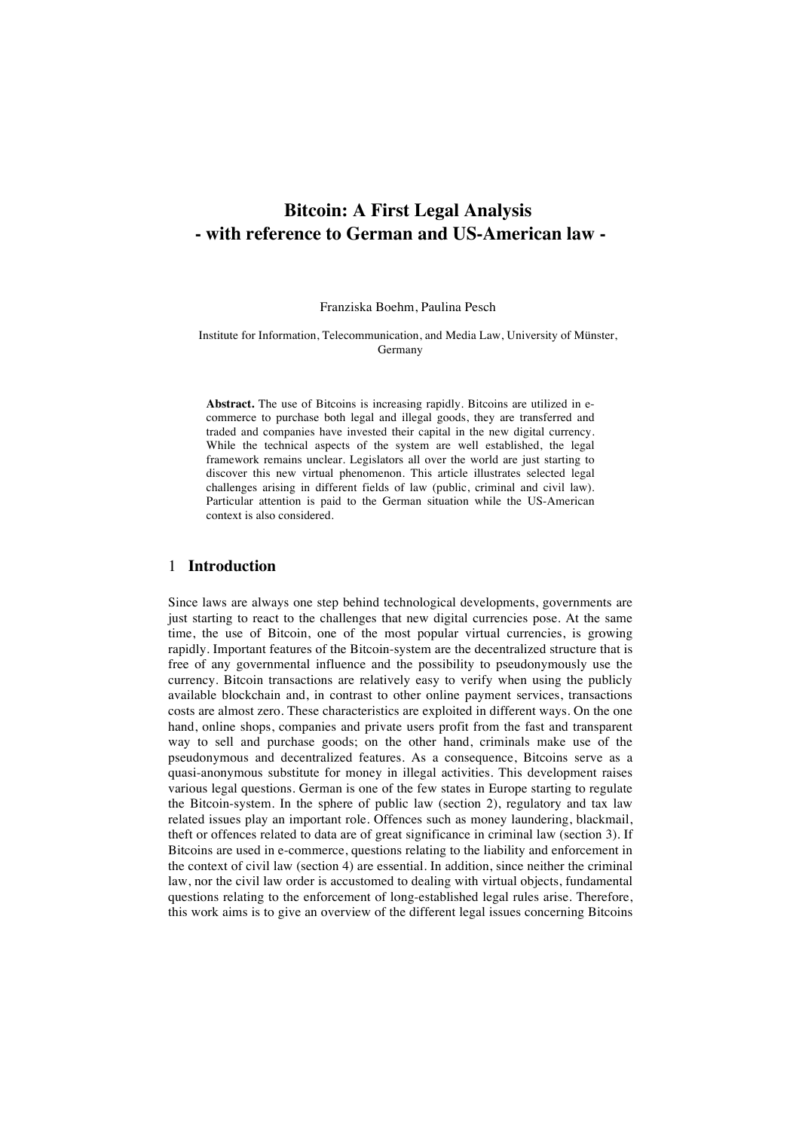# **Bitcoin: A First Legal Analysis - with reference to German and US-American law -**

Franziska Boehm, Paulina Pesch

Institute for Information, Telecommunication, and Media Law, University of Münster, Germany

**Abstract.** The use of Bitcoins is increasing rapidly. Bitcoins are utilized in ecommerce to purchase both legal and illegal goods, they are transferred and traded and companies have invested their capital in the new digital currency. While the technical aspects of the system are well established, the legal framework remains unclear. Legislators all over the world are just starting to discover this new virtual phenomenon. This article illustrates selected legal challenges arising in different fields of law (public, criminal and civil law). Particular attention is paid to the German situation while the US-American context is also considered.

# 1 **Introduction**

Since laws are always one step behind technological developments, governments are just starting to react to the challenges that new digital currencies pose. At the same time, the use of Bitcoin, one of the most popular virtual currencies, is growing rapidly. Important features of the Bitcoin-system are the decentralized structure that is free of any governmental influence and the possibility to pseudonymously use the currency. Bitcoin transactions are relatively easy to verify when using the publicly available blockchain and, in contrast to other online payment services, transactions costs are almost zero. These characteristics are exploited in different ways. On the one hand, online shops, companies and private users profit from the fast and transparent way to sell and purchase goods; on the other hand, criminals make use of the pseudonymous and decentralized features. As a consequence, Bitcoins serve as a quasi-anonymous substitute for money in illegal activities. This development raises various legal questions. German is one of the few states in Europe starting to regulate the Bitcoin-system. In the sphere of public law (section 2), regulatory and tax law related issues play an important role. Offences such as money laundering, blackmail, theft or offences related to data are of great significance in criminal law (section 3). If Bitcoins are used in e-commerce, questions relating to the liability and enforcement in the context of civil law (section 4) are essential. In addition, since neither the criminal law, nor the civil law order is accustomed to dealing with virtual objects, fundamental questions relating to the enforcement of long-established legal rules arise. Therefore, this work aims is to give an overview of the different legal issues concerning Bitcoins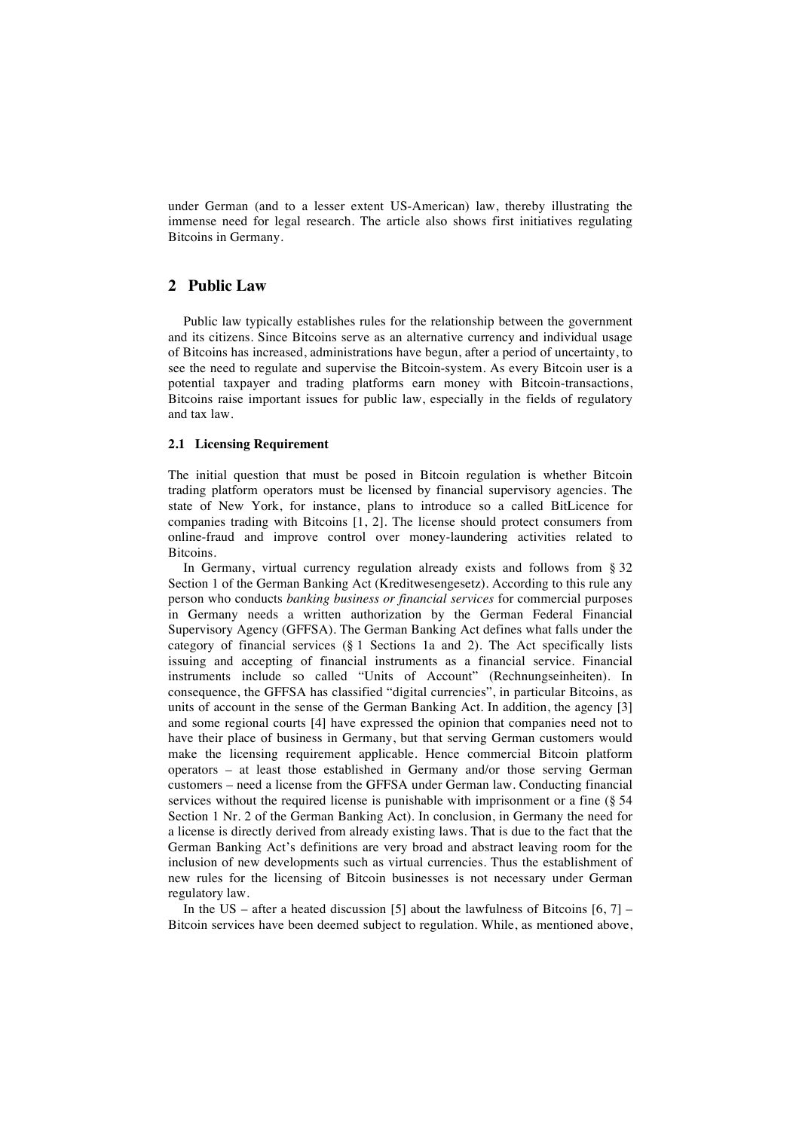under German (and to a lesser extent US-American) law, thereby illustrating the immense need for legal research. The article also shows first initiatives regulating Bitcoins in Germany.

# **2 Public Law**

Public law typically establishes rules for the relationship between the government and its citizens. Since Bitcoins serve as an alternative currency and individual usage of Bitcoins has increased, administrations have begun, after a period of uncertainty, to see the need to regulate and supervise the Bitcoin-system. As every Bitcoin user is a potential taxpayer and trading platforms earn money with Bitcoin-transactions, Bitcoins raise important issues for public law, especially in the fields of regulatory and tax law.

#### **2.1 Licensing Requirement**

The initial question that must be posed in Bitcoin regulation is whether Bitcoin trading platform operators must be licensed by financial supervisory agencies. The state of New York, for instance, plans to introduce so a called BitLicence for companies trading with Bitcoins [1, 2]. The license should protect consumers from online-fraud and improve control over money-laundering activities related to Bitcoins.

In Germany, virtual currency regulation already exists and follows from § 32 Section 1 of the German Banking Act (Kreditwesengesetz). According to this rule any person who conducts *banking business or financial services* for commercial purposes in Germany needs a written authorization by the German Federal Financial Supervisory Agency (GFFSA). The German Banking Act defines what falls under the category of financial services (§ 1 Sections 1a and 2). The Act specifically lists issuing and accepting of financial instruments as a financial service. Financial instruments include so called "Units of Account" (Rechnungseinheiten). In consequence, the GFFSA has classified "digital currencies", in particular Bitcoins, as units of account in the sense of the German Banking Act. In addition, the agency [3] and some regional courts [4] have expressed the opinion that companies need not to have their place of business in Germany, but that serving German customers would make the licensing requirement applicable. Hence commercial Bitcoin platform operators – at least those established in Germany and/or those serving German customers – need a license from the GFFSA under German law. Conducting financial services without the required license is punishable with imprisonment or a fine (§ 54 Section 1 Nr. 2 of the German Banking Act). In conclusion, in Germany the need for a license is directly derived from already existing laws. That is due to the fact that the German Banking Act's definitions are very broad and abstract leaving room for the inclusion of new developments such as virtual currencies. Thus the establishment of new rules for the licensing of Bitcoin businesses is not necessary under German regulatory law.

In the US – after a heated discussion [5] about the lawfulness of Bitcoins  $[6, 7]$  – Bitcoin services have been deemed subject to regulation. While, as mentioned above,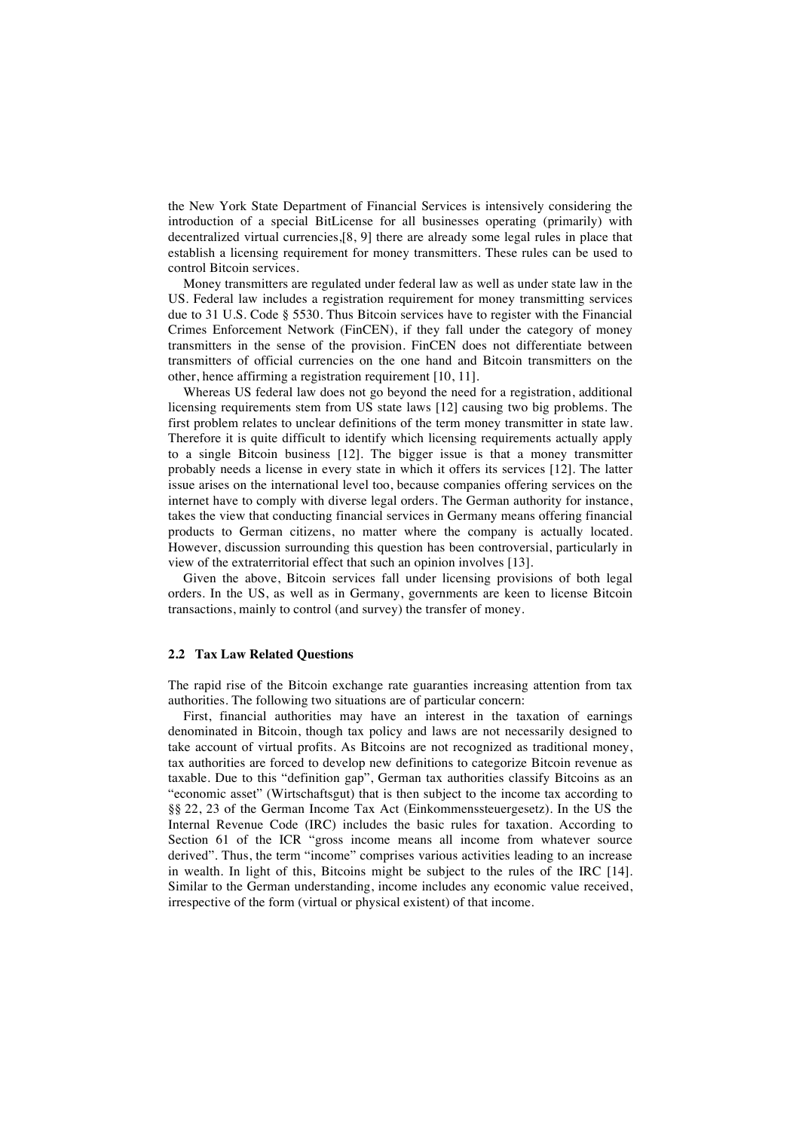the New York State Department of Financial Services is intensively considering the introduction of a special BitLicense for all businesses operating (primarily) with decentralized virtual currencies,[8, 9] there are already some legal rules in place that establish a licensing requirement for money transmitters. These rules can be used to control Bitcoin services.

Money transmitters are regulated under federal law as well as under state law in the US. Federal law includes a registration requirement for money transmitting services due to 31 U.S. Code § 5530. Thus Bitcoin services have to register with the Financial Crimes Enforcement Network (FinCEN), if they fall under the category of money transmitters in the sense of the provision. FinCEN does not differentiate between transmitters of official currencies on the one hand and Bitcoin transmitters on the other, hence affirming a registration requirement [10, 11].

Whereas US federal law does not go beyond the need for a registration, additional licensing requirements stem from US state laws [12] causing two big problems. The first problem relates to unclear definitions of the term money transmitter in state law. Therefore it is quite difficult to identify which licensing requirements actually apply to a single Bitcoin business [12]. The bigger issue is that a money transmitter probably needs a license in every state in which it offers its services [12]. The latter issue arises on the international level too, because companies offering services on the internet have to comply with diverse legal orders. The German authority for instance, takes the view that conducting financial services in Germany means offering financial products to German citizens, no matter where the company is actually located. However, discussion surrounding this question has been controversial, particularly in view of the extraterritorial effect that such an opinion involves [13].

Given the above, Bitcoin services fall under licensing provisions of both legal orders. In the US, as well as in Germany, governments are keen to license Bitcoin transactions, mainly to control (and survey) the transfer of money.

#### **2.2 Tax Law Related Questions**

The rapid rise of the Bitcoin exchange rate guaranties increasing attention from tax authorities. The following two situations are of particular concern:

First, financial authorities may have an interest in the taxation of earnings denominated in Bitcoin, though tax policy and laws are not necessarily designed to take account of virtual profits. As Bitcoins are not recognized as traditional money, tax authorities are forced to develop new definitions to categorize Bitcoin revenue as taxable. Due to this "definition gap", German tax authorities classify Bitcoins as an "economic asset" (Wirtschaftsgut) that is then subject to the income tax according to §§ 22, 23 of the German Income Tax Act (Einkommenssteuergesetz). In the US the Internal Revenue Code (IRC) includes the basic rules for taxation. According to Section 61 of the ICR "gross income means all income from whatever source derived". Thus, the term "income" comprises various activities leading to an increase in wealth. In light of this, Bitcoins might be subject to the rules of the IRC [14]. Similar to the German understanding, income includes any economic value received, irrespective of the form (virtual or physical existent) of that income.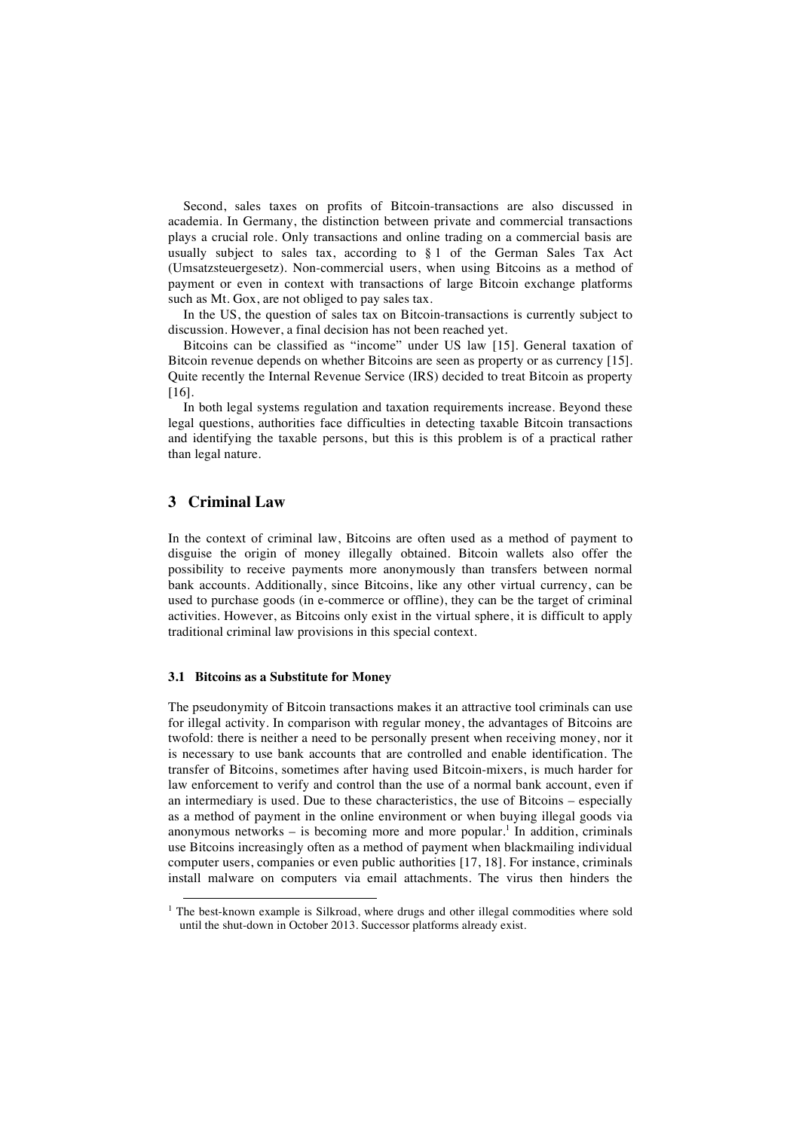Second, sales taxes on profits of Bitcoin-transactions are also discussed in academia. In Germany, the distinction between private and commercial transactions plays a crucial role. Only transactions and online trading on a commercial basis are usually subject to sales tax, according to § 1 of the German Sales Tax Act (Umsatzsteuergesetz). Non-commercial users, when using Bitcoins as a method of payment or even in context with transactions of large Bitcoin exchange platforms such as Mt. Gox, are not obliged to pay sales tax.

In the US, the question of sales tax on Bitcoin-transactions is currently subject to discussion. However, a final decision has not been reached yet.

Bitcoins can be classified as "income" under US law [15]. General taxation of Bitcoin revenue depends on whether Bitcoins are seen as property or as currency [15]. Quite recently the Internal Revenue Service (IRS) decided to treat Bitcoin as property [16].

In both legal systems regulation and taxation requirements increase. Beyond these legal questions, authorities face difficulties in detecting taxable Bitcoin transactions and identifying the taxable persons, but this is this problem is of a practical rather than legal nature.

# **3 Criminal Law**

In the context of criminal law, Bitcoins are often used as a method of payment to disguise the origin of money illegally obtained. Bitcoin wallets also offer the possibility to receive payments more anonymously than transfers between normal bank accounts. Additionally, since Bitcoins, like any other virtual currency, can be used to purchase goods (in e-commerce or offline), they can be the target of criminal activities. However, as Bitcoins only exist in the virtual sphere, it is difficult to apply traditional criminal law provisions in this special context.

#### **3.1 Bitcoins as a Substitute for Money**

The pseudonymity of Bitcoin transactions makes it an attractive tool criminals can use for illegal activity. In comparison with regular money, the advantages of Bitcoins are twofold: there is neither a need to be personally present when receiving money, nor it is necessary to use bank accounts that are controlled and enable identification. The transfer of Bitcoins, sometimes after having used Bitcoin-mixers, is much harder for law enforcement to verify and control than the use of a normal bank account, even if an intermediary is used. Due to these characteristics, the use of Bitcoins – especially as a method of payment in the online environment or when buying illegal goods via anonymous networks – is becoming more and more popular.<sup>1</sup> In addition, criminals use Bitcoins increasingly often as a method of payment when blackmailing individual computer users, companies or even public authorities [17, 18]. For instance, criminals install malware on computers via email attachments. The virus then hinders the

 $1$  The best-known example is Silkroad, where drugs and other illegal commodities where sold until the shut-down in October 2013. Successor platforms already exist.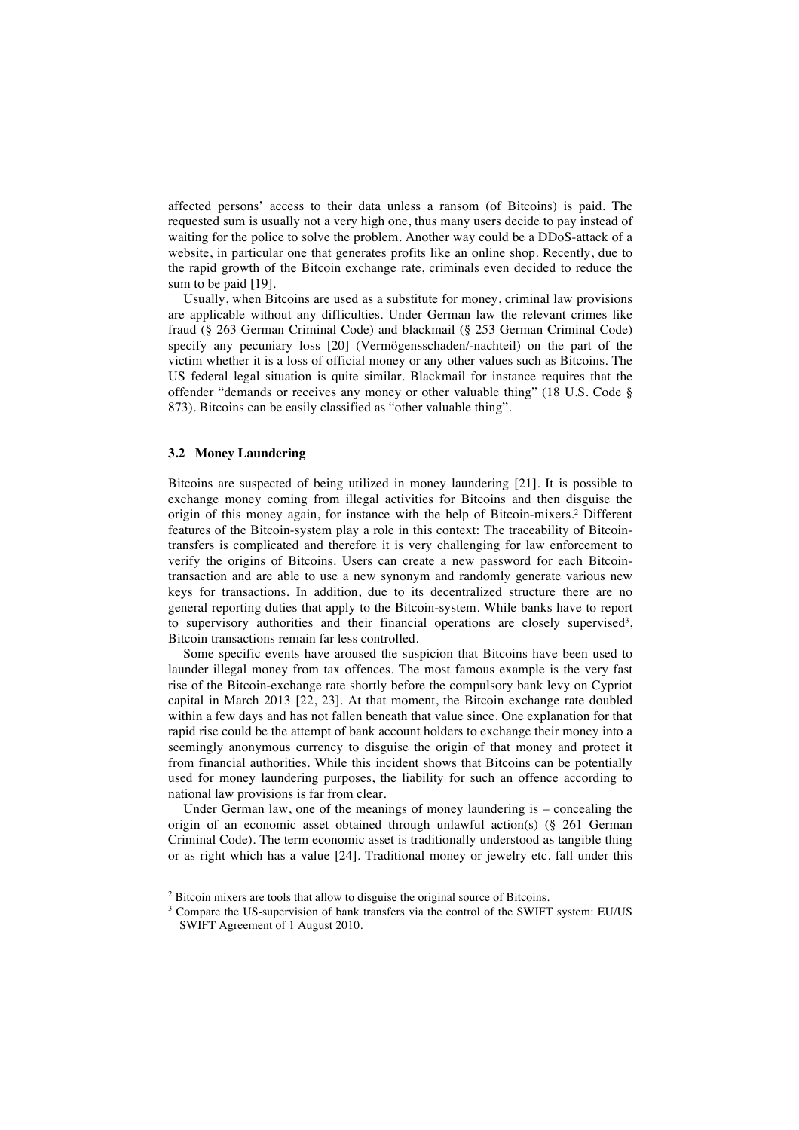affected persons' access to their data unless a ransom (of Bitcoins) is paid. The requested sum is usually not a very high one, thus many users decide to pay instead of waiting for the police to solve the problem. Another way could be a DDoS-attack of a website, in particular one that generates profits like an online shop. Recently, due to the rapid growth of the Bitcoin exchange rate, criminals even decided to reduce the sum to be paid [19].

Usually, when Bitcoins are used as a substitute for money, criminal law provisions are applicable without any difficulties. Under German law the relevant crimes like fraud (§ 263 German Criminal Code) and blackmail (§ 253 German Criminal Code) specify any pecuniary loss [20] (Vermögensschaden/-nachteil) on the part of the victim whether it is a loss of official money or any other values such as Bitcoins. The US federal legal situation is quite similar. Blackmail for instance requires that the offender "demands or receives any money or other valuable thing" (18 U.S. Code § 873). Bitcoins can be easily classified as "other valuable thing".

#### **3.2 Money Laundering**

Bitcoins are suspected of being utilized in money laundering [21]. It is possible to exchange money coming from illegal activities for Bitcoins and then disguise the origin of this money again, for instance with the help of Bitcoin-mixers.2 Different features of the Bitcoin-system play a role in this context: The traceability of Bitcointransfers is complicated and therefore it is very challenging for law enforcement to verify the origins of Bitcoins. Users can create a new password for each Bitcointransaction and are able to use a new synonym and randomly generate various new keys for transactions. In addition, due to its decentralized structure there are no general reporting duties that apply to the Bitcoin-system. While banks have to report to supervisory authorities and their financial operations are closely supervised<sup>3</sup>, Bitcoin transactions remain far less controlled.

Some specific events have aroused the suspicion that Bitcoins have been used to launder illegal money from tax offences. The most famous example is the very fast rise of the Bitcoin-exchange rate shortly before the compulsory bank levy on Cypriot capital in March 2013 [22, 23]. At that moment, the Bitcoin exchange rate doubled within a few days and has not fallen beneath that value since. One explanation for that rapid rise could be the attempt of bank account holders to exchange their money into a seemingly anonymous currency to disguise the origin of that money and protect it from financial authorities. While this incident shows that Bitcoins can be potentially used for money laundering purposes, the liability for such an offence according to national law provisions is far from clear.

Under German law, one of the meanings of money laundering is – concealing the origin of an economic asset obtained through unlawful action(s) (§ 261 German Criminal Code). The term economic asset is traditionally understood as tangible thing or as right which has a value [24]. Traditional money or jewelry etc. fall under this

<sup>&</sup>lt;sup>2</sup> Bitcoin mixers are tools that allow to disguise the original source of Bitcoins.

<sup>3</sup> Compare the US-supervision of bank transfers via the control of the SWIFT system: EU/US SWIFT Agreement of 1 August 2010.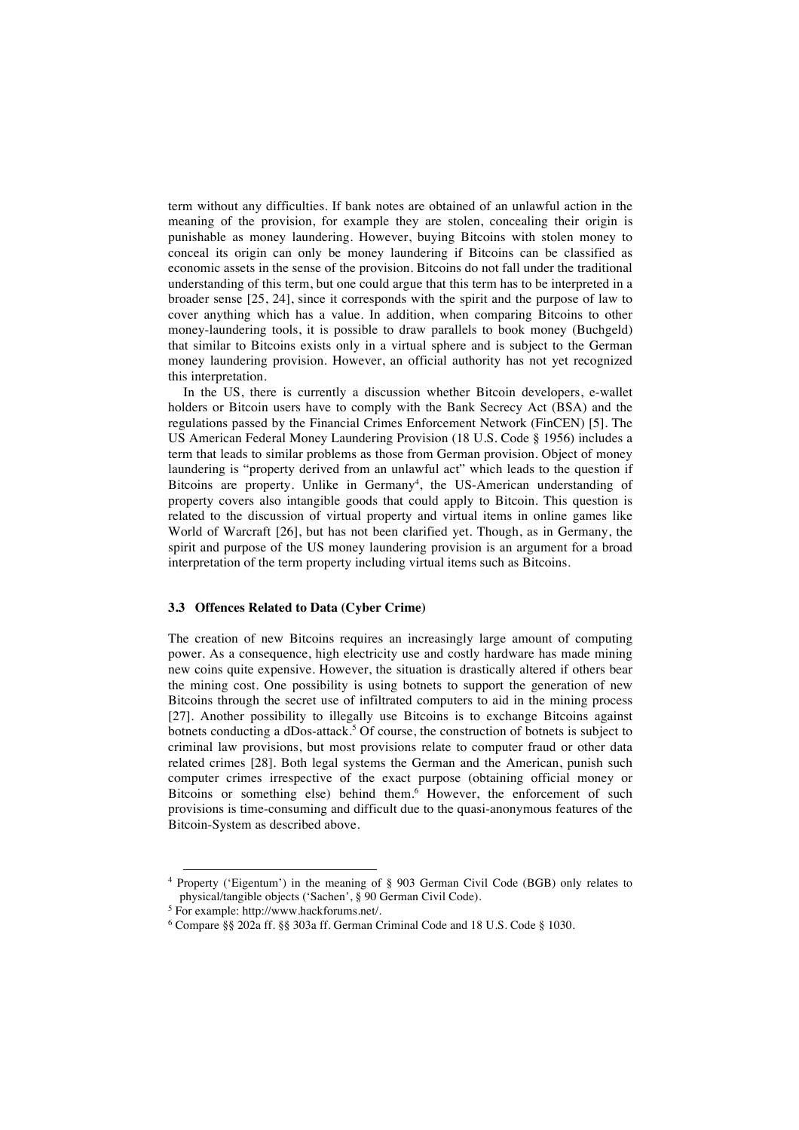term without any difficulties. If bank notes are obtained of an unlawful action in the meaning of the provision, for example they are stolen, concealing their origin is punishable as money laundering. However, buying Bitcoins with stolen money to conceal its origin can only be money laundering if Bitcoins can be classified as economic assets in the sense of the provision. Bitcoins do not fall under the traditional understanding of this term, but one could argue that this term has to be interpreted in a broader sense [25, 24], since it corresponds with the spirit and the purpose of law to cover anything which has a value. In addition, when comparing Bitcoins to other money-laundering tools, it is possible to draw parallels to book money (Buchgeld) that similar to Bitcoins exists only in a virtual sphere and is subject to the German money laundering provision. However, an official authority has not yet recognized this interpretation.

In the US, there is currently a discussion whether Bitcoin developers, e-wallet holders or Bitcoin users have to comply with the Bank Secrecy Act (BSA) and the regulations passed by the Financial Crimes Enforcement Network (FinCEN) [5]. The US American Federal Money Laundering Provision (18 U.S. Code § 1956) includes a term that leads to similar problems as those from German provision. Object of money laundering is "property derived from an unlawful act" which leads to the question if Bitcoins are property. Unlike in Germany<sup>4</sup>, the US-American understanding of property covers also intangible goods that could apply to Bitcoin. This question is related to the discussion of virtual property and virtual items in online games like World of Warcraft [26], but has not been clarified yet. Though, as in Germany, the spirit and purpose of the US money laundering provision is an argument for a broad interpretation of the term property including virtual items such as Bitcoins.

#### **3.3 Offences Related to Data (Cyber Crime)**

The creation of new Bitcoins requires an increasingly large amount of computing power. As a consequence, high electricity use and costly hardware has made mining new coins quite expensive. However, the situation is drastically altered if others bear the mining cost. One possibility is using botnets to support the generation of new Bitcoins through the secret use of infiltrated computers to aid in the mining process [27]. Another possibility to illegally use Bitcoins is to exchange Bitcoins against botnets conducting a dDos-attack.<sup>5</sup> Of course, the construction of botnets is subject to criminal law provisions, but most provisions relate to computer fraud or other data related crimes [28]. Both legal systems the German and the American, punish such computer crimes irrespective of the exact purpose (obtaining official money or Bitcoins or something else) behind them.<sup>6</sup> However, the enforcement of such provisions is time-consuming and difficult due to the quasi-anonymous features of the Bitcoin-System as described above.

 <sup>4</sup> Property ('Eigentum') in the meaning of § 903 German Civil Code (BGB) only relates to physical/tangible objects ('Sachen', § 90 German Civil Code).

<sup>5</sup> For example: http://www.hackforums.net/.

<sup>6</sup> Compare §§ 202a ff. §§ 303a ff. German Criminal Code and 18 U.S. Code § 1030.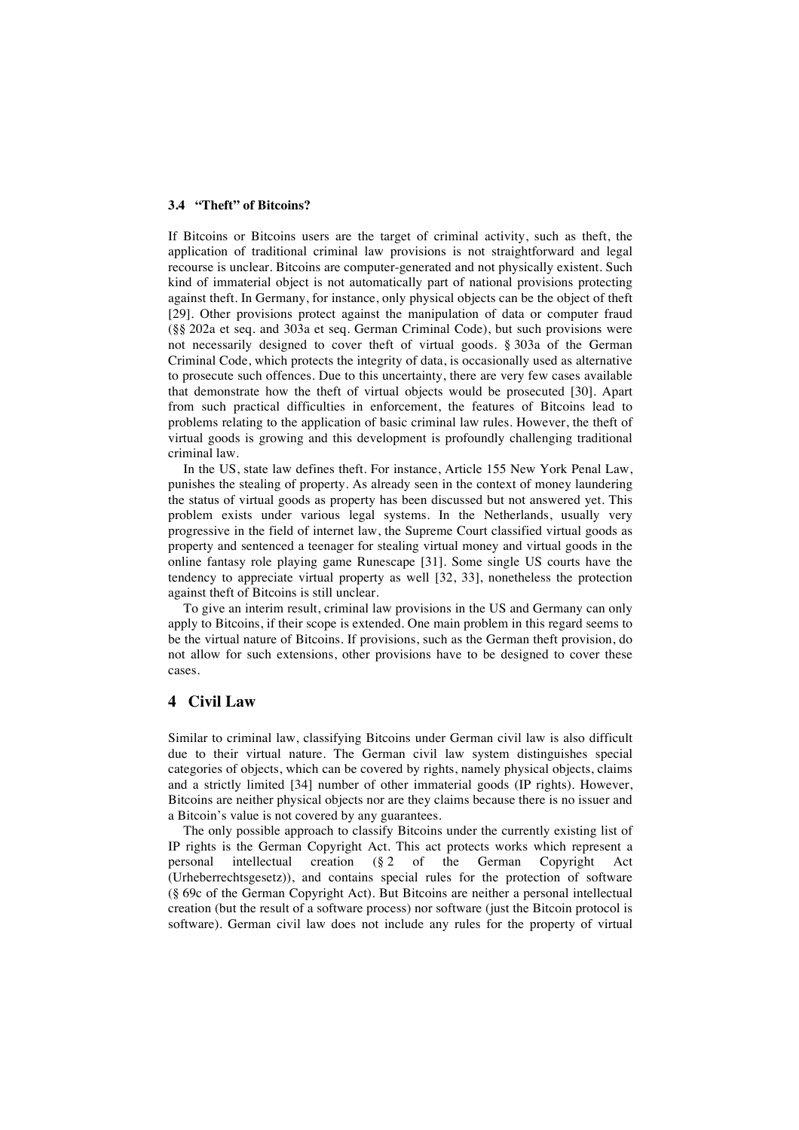#### **3.4 "Theft" of Bitcoins?**

If Bitcoins or Bitcoins users are the target of criminal activity, such as theft, the application of traditional criminal law provisions is not straightforward and legal recourse is unclear. Bitcoins are computer-generated and not physically existent. Such kind of immaterial object is not automatically part of national provisions protecting against theft. In Germany, for instance, only physical objects can be the object of theft [29]. Other provisions protect against the manipulation of data or computer fraud (§§ 202a et seq. and 303a et seq. German Criminal Code), but such provisions were not necessarily designed to cover theft of virtual goods. § 303a of the German Criminal Code, which protects the integrity of data, is occasionally used as alternative to prosecute such offences. Due to this uncertainty, there are very few cases available that demonstrate how the theft of virtual objects would be prosecuted [30]. Apart from such practical difficulties in enforcement, the features of Bitcoins lead to problems relating to the application of basic criminal law rules. However, the theft of virtual goods is growing and this development is profoundly challenging traditional criminal law.

In the US, state law defines theft. For instance, Article 155 New York Penal Law, punishes the stealing of property. As already seen in the context of money laundering the status of virtual goods as property has been discussed but not answered yet. This problem exists under various legal systems. In the Netherlands, usually very progressive in the field of internet law, the Supreme Court classified virtual goods as property and sentenced a teenager for stealing virtual money and virtual goods in the online fantasy role playing game Runescape [31]. Some single US courts have the tendency to appreciate virtual property as well [32, 33], nonetheless the protection against theft of Bitcoins is still unclear.

To give an interim result, criminal law provisions in the US and Germany can only apply to Bitcoins, if their scope is extended. One main problem in this regard seems to be the virtual nature of Bitcoins. If provisions, such as the German theft provision, do not allow for such extensions, other provisions have to be designed to cover these cases.

## **4 Civil Law**

Similar to criminal law, classifying Bitcoins under German civil law is also difficult due to their virtual nature. The German civil law system distinguishes special categories of objects, which can be covered by rights, namely physical objects, claims and a strictly limited [34] number of other immaterial goods (IP rights). However, Bitcoins are neither physical objects nor are they claims because there is no issuer and a Bitcoin's value is not covered by any guarantees.

The only possible approach to classify Bitcoins under the currently existing list of IP rights is the German Copyright Act. This act protects works which represent a personal intellectual creation (§ 2 of the German Copyright Act (Urheberrechtsgesetz)), and contains special rules for the protection of software (§ 69c of the German Copyright Act). But Bitcoins are neither a personal intellectual creation (but the result of a software process) nor software (just the Bitcoin protocol is software). German civil law does not include any rules for the property of virtual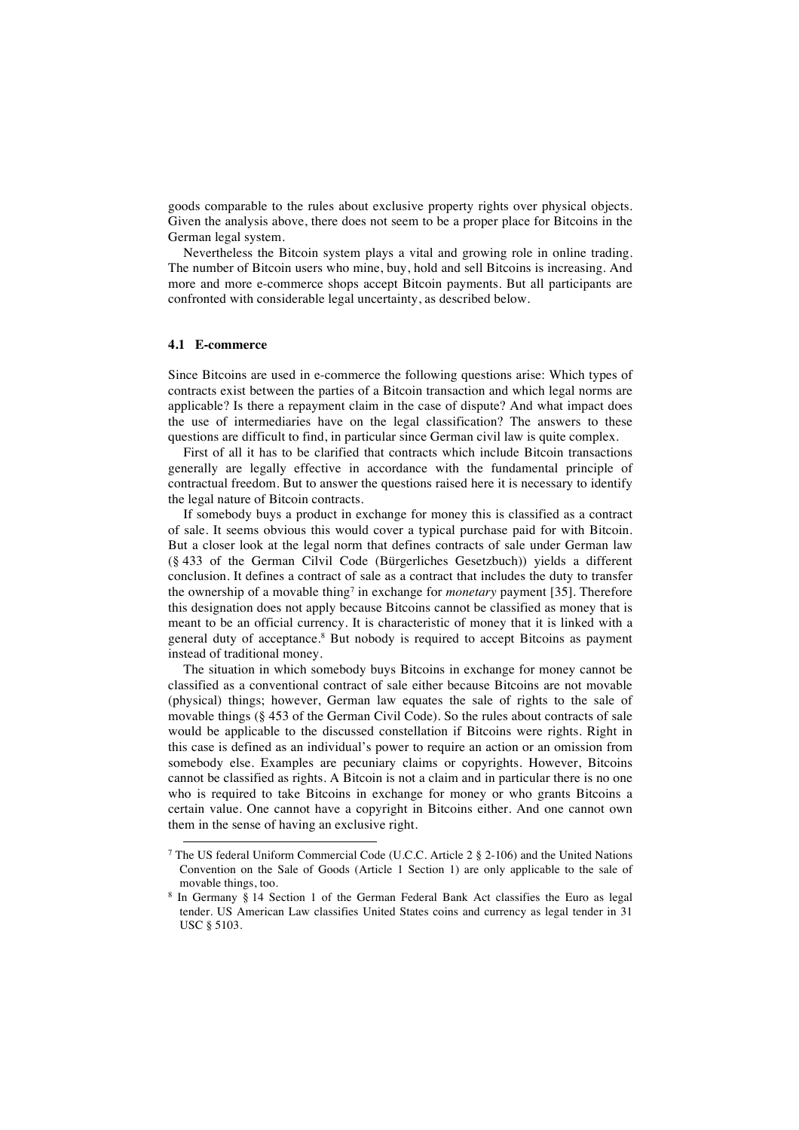goods comparable to the rules about exclusive property rights over physical objects. Given the analysis above, there does not seem to be a proper place for Bitcoins in the German legal system.

Nevertheless the Bitcoin system plays a vital and growing role in online trading. The number of Bitcoin users who mine, buy, hold and sell Bitcoins is increasing. And more and more e-commerce shops accept Bitcoin payments. But all participants are confronted with considerable legal uncertainty, as described below.

# **4.1 E-commerce**

Since Bitcoins are used in e-commerce the following questions arise: Which types of contracts exist between the parties of a Bitcoin transaction and which legal norms are applicable? Is there a repayment claim in the case of dispute? And what impact does the use of intermediaries have on the legal classification? The answers to these questions are difficult to find, in particular since German civil law is quite complex.

First of all it has to be clarified that contracts which include Bitcoin transactions generally are legally effective in accordance with the fundamental principle of contractual freedom. But to answer the questions raised here it is necessary to identify the legal nature of Bitcoin contracts.

If somebody buys a product in exchange for money this is classified as a contract of sale. It seems obvious this would cover a typical purchase paid for with Bitcoin. But a closer look at the legal norm that defines contracts of sale under German law (§ 433 of the German Cilvil Code (Bürgerliches Gesetzbuch)) yields a different conclusion. It defines a contract of sale as a contract that includes the duty to transfer the ownership of a movable thing<sup>7</sup> in exchange for *monetary* payment [35]. Therefore this designation does not apply because Bitcoins cannot be classified as money that is meant to be an official currency. It is characteristic of money that it is linked with a general duty of acceptance.8 But nobody is required to accept Bitcoins as payment instead of traditional money.

The situation in which somebody buys Bitcoins in exchange for money cannot be classified as a conventional contract of sale either because Bitcoins are not movable (physical) things; however, German law equates the sale of rights to the sale of movable things (§ 453 of the German Civil Code). So the rules about contracts of sale would be applicable to the discussed constellation if Bitcoins were rights. Right in this case is defined as an individual's power to require an action or an omission from somebody else. Examples are pecuniary claims or copyrights. However, Bitcoins cannot be classified as rights. A Bitcoin is not a claim and in particular there is no one who is required to take Bitcoins in exchange for money or who grants Bitcoins a certain value. One cannot have a copyright in Bitcoins either. And one cannot own them in the sense of having an exclusive right.

 <sup>7</sup> The US federal Uniform Commercial Code (U.C.C. Article 2 § 2-106) and the United Nations Convention on the Sale of Goods (Article 1 Section 1) are only applicable to the sale of movable things, too.

<sup>8</sup> In Germany § 14 Section 1 of the German Federal Bank Act classifies the Euro as legal tender. US American Law classifies United States coins and currency as legal tender in 31 USC § 5103.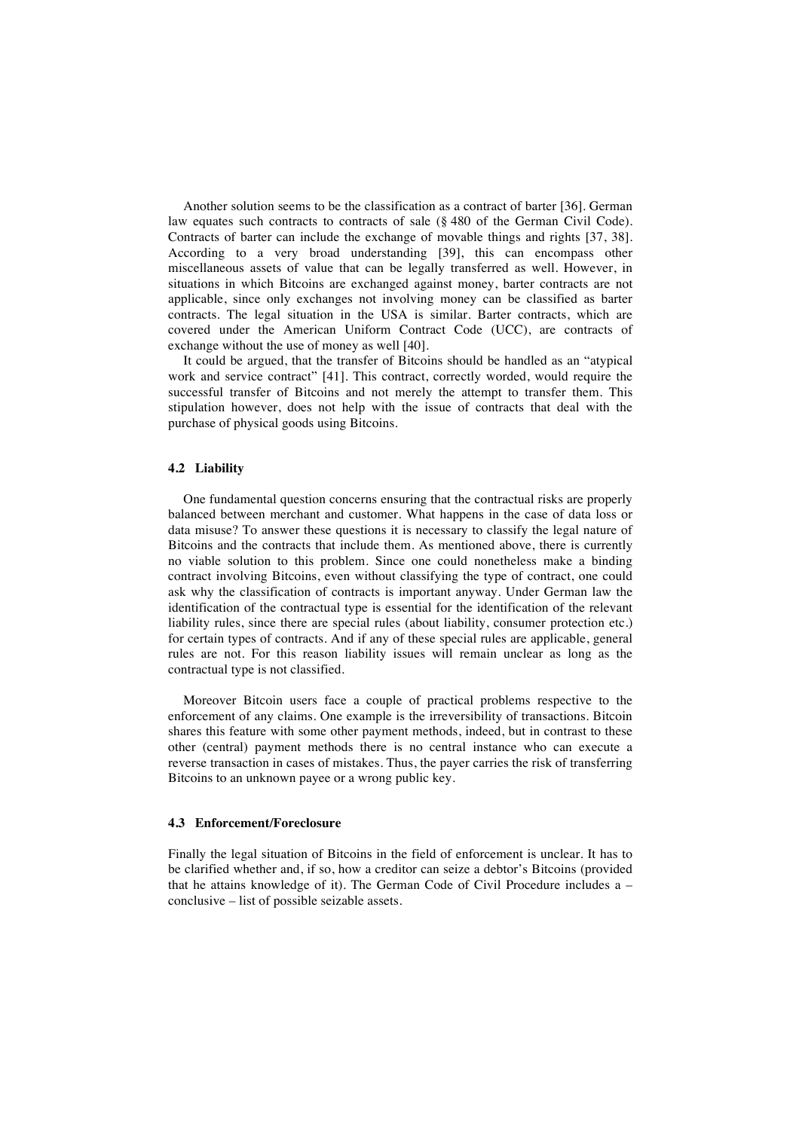Another solution seems to be the classification as a contract of barter [36]. German law equates such contracts to contracts of sale (§ 480 of the German Civil Code). Contracts of barter can include the exchange of movable things and rights [37, 38]. According to a very broad understanding [39], this can encompass other miscellaneous assets of value that can be legally transferred as well. However, in situations in which Bitcoins are exchanged against money, barter contracts are not applicable, since only exchanges not involving money can be classified as barter contracts. The legal situation in the USA is similar. Barter contracts, which are covered under the American Uniform Contract Code (UCC), are contracts of exchange without the use of money as well [40].

It could be argued, that the transfer of Bitcoins should be handled as an "atypical work and service contract" [41]. This contract, correctly worded, would require the successful transfer of Bitcoins and not merely the attempt to transfer them. This stipulation however, does not help with the issue of contracts that deal with the purchase of physical goods using Bitcoins.

### **4.2 Liability**

One fundamental question concerns ensuring that the contractual risks are properly balanced between merchant and customer. What happens in the case of data loss or data misuse? To answer these questions it is necessary to classify the legal nature of Bitcoins and the contracts that include them. As mentioned above, there is currently no viable solution to this problem. Since one could nonetheless make a binding contract involving Bitcoins, even without classifying the type of contract, one could ask why the classification of contracts is important anyway. Under German law the identification of the contractual type is essential for the identification of the relevant liability rules, since there are special rules (about liability, consumer protection etc.) for certain types of contracts. And if any of these special rules are applicable, general rules are not. For this reason liability issues will remain unclear as long as the contractual type is not classified.

Moreover Bitcoin users face a couple of practical problems respective to the enforcement of any claims. One example is the irreversibility of transactions. Bitcoin shares this feature with some other payment methods, indeed, but in contrast to these other (central) payment methods there is no central instance who can execute a reverse transaction in cases of mistakes. Thus, the payer carries the risk of transferring Bitcoins to an unknown payee or a wrong public key.

#### **4.3 Enforcement/Foreclosure**

Finally the legal situation of Bitcoins in the field of enforcement is unclear. It has to be clarified whether and, if so, how a creditor can seize a debtor's Bitcoins (provided that he attains knowledge of it). The German Code of Civil Procedure includes a – conclusive – list of possible seizable assets.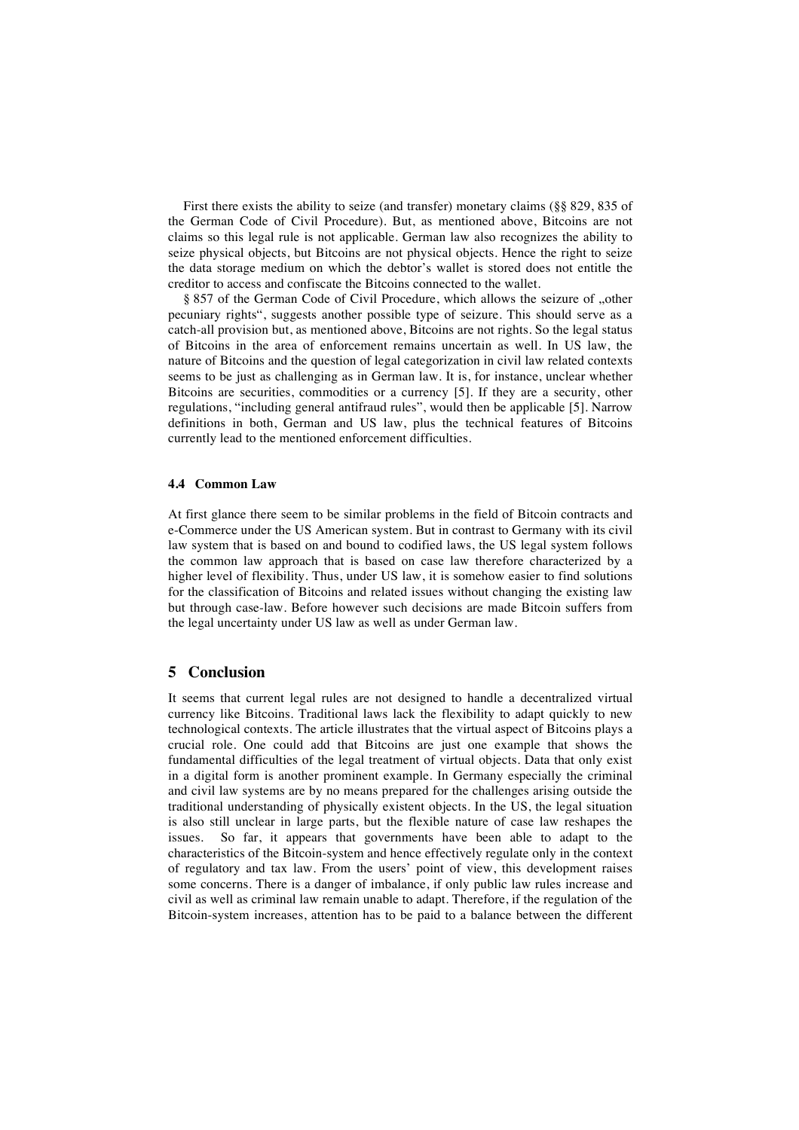First there exists the ability to seize (and transfer) monetary claims (§§ 829, 835 of the German Code of Civil Procedure). But, as mentioned above, Bitcoins are not claims so this legal rule is not applicable. German law also recognizes the ability to seize physical objects, but Bitcoins are not physical objects. Hence the right to seize the data storage medium on which the debtor's wallet is stored does not entitle the creditor to access and confiscate the Bitcoins connected to the wallet.

§ 857 of the German Code of Civil Procedure, which allows the seizure of "other pecuniary rights", suggests another possible type of seizure. This should serve as a catch-all provision but, as mentioned above, Bitcoins are not rights. So the legal status of Bitcoins in the area of enforcement remains uncertain as well. In US law, the nature of Bitcoins and the question of legal categorization in civil law related contexts seems to be just as challenging as in German law. It is, for instance, unclear whether Bitcoins are securities, commodities or a currency [5]. If they are a security, other regulations, "including general antifraud rules", would then be applicable [5]. Narrow definitions in both, German and US law, plus the technical features of Bitcoins currently lead to the mentioned enforcement difficulties.

#### **4.4 Common Law**

At first glance there seem to be similar problems in the field of Bitcoin contracts and e-Commerce under the US American system. But in contrast to Germany with its civil law system that is based on and bound to codified laws, the US legal system follows the common law approach that is based on case law therefore characterized by a higher level of flexibility. Thus, under US law, it is somehow easier to find solutions for the classification of Bitcoins and related issues without changing the existing law but through case-law. Before however such decisions are made Bitcoin suffers from the legal uncertainty under US law as well as under German law.

# **5 Conclusion**

It seems that current legal rules are not designed to handle a decentralized virtual currency like Bitcoins. Traditional laws lack the flexibility to adapt quickly to new technological contexts. The article illustrates that the virtual aspect of Bitcoins plays a crucial role. One could add that Bitcoins are just one example that shows the fundamental difficulties of the legal treatment of virtual objects. Data that only exist in a digital form is another prominent example. In Germany especially the criminal and civil law systems are by no means prepared for the challenges arising outside the traditional understanding of physically existent objects. In the US, the legal situation is also still unclear in large parts, but the flexible nature of case law reshapes the issues. So far, it appears that governments have been able to adapt to the characteristics of the Bitcoin-system and hence effectively regulate only in the context of regulatory and tax law. From the users' point of view, this development raises some concerns. There is a danger of imbalance, if only public law rules increase and civil as well as criminal law remain unable to adapt. Therefore, if the regulation of the Bitcoin-system increases, attention has to be paid to a balance between the different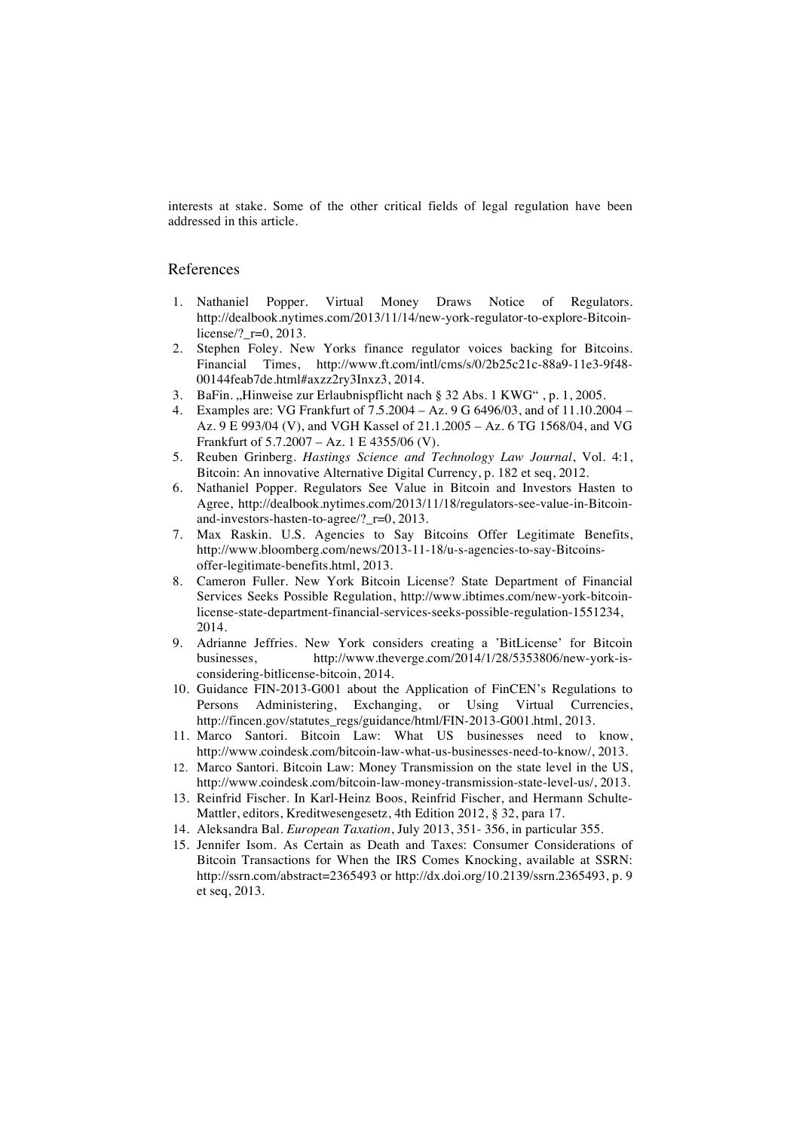interests at stake. Some of the other critical fields of legal regulation have been addressed in this article.

# References

- 1. Nathaniel Popper. Virtual Money Draws Notice of Regulators. http://dealbook.nytimes.com/2013/11/14/new-york-regulator-to-explore-Bitcoinlicense/?  $r=0$ , 2013.
- 2. Stephen Foley. New Yorks finance regulator voices backing for Bitcoins. Financial Times, http://www.ft.com/intl/cms/s/0/2b25c21c-88a9-11e3-9f48- 00144feab7de.html#axzz2ry3Inxz3, 2014.
- 3. BaFin. "Hinweise zur Erlaubnispflicht nach § 32 Abs. 1 KWG", p. 1, 2005.
- 4. Examples are: VG Frankfurt of 7.5.2004 Az. 9 G 6496/03, and of 11.10.2004 Az. 9 E 993/04 (V), and VGH Kassel of 21.1.2005 – Az. 6 TG 1568/04, and VG Frankfurt of 5.7.2007 – Az. 1 E 4355/06 (V).
- 5. Reuben Grinberg. *Hastings Science and Technology Law Journal*, Vol. 4:1, Bitcoin: An innovative Alternative Digital Currency, p. 182 et seq, 2012.
- 6. Nathaniel Popper. Regulators See Value in Bitcoin and Investors Hasten to Agree, http://dealbook.nytimes.com/2013/11/18/regulators-see-value-in-Bitcoinand-investors-hasten-to-agree/?\_r=0, 2013.
- 7. Max Raskin. U.S. Agencies to Say Bitcoins Offer Legitimate Benefits, http://www.bloomberg.com/news/2013-11-18/u-s-agencies-to-say-Bitcoinsoffer-legitimate-benefits.html, 2013.
- 8. Cameron Fuller. New York Bitcoin License? State Department of Financial Services Seeks Possible Regulation, http://www.ibtimes.com/new-york-bitcoinlicense-state-department-financial-services-seeks-possible-regulation-1551234, 2014.
- 9. Adrianne Jeffries. New York considers creating a 'BitLicense' for Bitcoin businesses, http://www.theverge.com/2014/1/28/5353806/new-york-isconsidering-bitlicense-bitcoin, 2014.
- 10. Guidance FIN-2013-G001 about the Application of FinCEN's Regulations to Persons Administering, Exchanging, or Using Virtual Currencies, http://fincen.gov/statutes\_regs/guidance/html/FIN-2013-G001.html, 2013.
- 11. Marco Santori. Bitcoin Law: What US businesses need to know, http://www.coindesk.com/bitcoin-law-what-us-businesses-need-to-know/, 2013.
- 12. Marco Santori. Bitcoin Law: Money Transmission on the state level in the US, http://www.coindesk.com/bitcoin-law-money-transmission-state-level-us/, 2013.
- 13. Reinfrid Fischer. In Karl-Heinz Boos, Reinfrid Fischer, and Hermann Schulte-Mattler, editors, Kreditwesengesetz, 4th Edition 2012, § 32, para 17.
- 14. Aleksandra Bal. *European Taxation*, July 2013, 351- 356, in particular 355.
- 15. Jennifer Isom. As Certain as Death and Taxes: Consumer Considerations of Bitcoin Transactions for When the IRS Comes Knocking, available at SSRN: http://ssrn.com/abstract=2365493 or http://dx.doi.org/10.2139/ssrn.2365493, p. 9 et seq, 2013.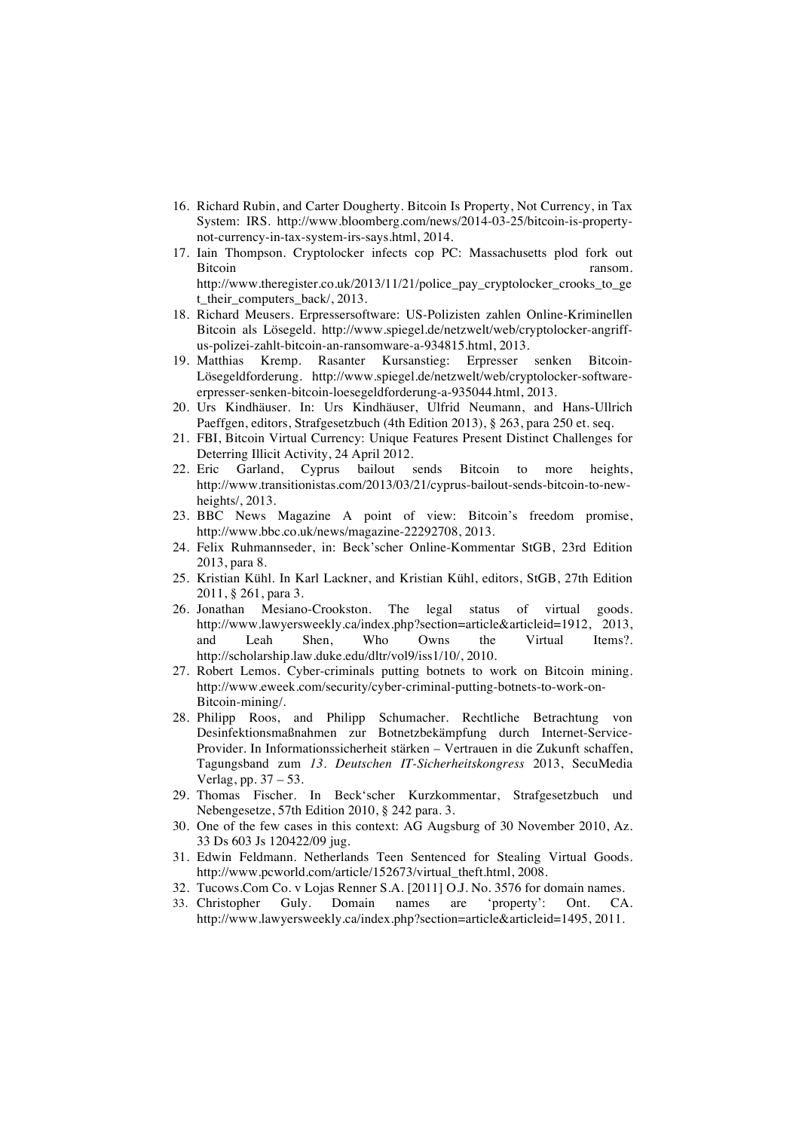- 16. Richard Rubin, and Carter Dougherty. Bitcoin Is Property, Not Currency, in Tax System: IRS. http://www.bloomberg.com/news/2014-03-25/bitcoin-is-propertynot-currency-in-tax-system-irs-says.html, 2014.
- 17. Iain Thompson. Cryptolocker infects cop PC: Massachusetts plod fork out Bitcoin ransom. http://www.theregister.co.uk/2013/11/21/police\_pay\_cryptolocker\_crooks\_to\_ge t\_their\_computers\_back/, 2013.
- 18. Richard Meusers. Erpressersoftware: US-Polizisten zahlen Online-Kriminellen Bitcoin als Lösegeld. http://www.spiegel.de/netzwelt/web/cryptolocker-angriffus-polizei-zahlt-bitcoin-an-ransomware-a-934815.html, 2013.
- 19. Matthias Kremp. Rasanter Kursanstieg: Erpresser senken Bitcoin-Lösegeldforderung. http://www.spiegel.de/netzwelt/web/cryptolocker-softwareerpresser-senken-bitcoin-loesegeldforderung-a-935044.html, 2013.
- 20. Urs Kindhäuser. In: Urs Kindhäuser, Ulfrid Neumann, and Hans-Ullrich Paeffgen, editors, Strafgesetzbuch (4th Edition 2013), § 263, para 250 et. seq.
- 21. FBI, Bitcoin Virtual Currency: Unique Features Present Distinct Challenges for Deterring Illicit Activity, 24 April 2012.
- 22. Eric Garland, Cyprus bailout sends Bitcoin to more heights, http://www.transitionistas.com/2013/03/21/cyprus-bailout-sends-bitcoin-to-newheights/, 2013.
- 23. BBC News Magazine A point of view: Bitcoin's freedom promise, http://www.bbc.co.uk/news/magazine-22292708, 2013.
- 24. Felix Ruhmannseder, in: Beck'scher Online-Kommentar StGB, 23rd Edition 2013, para 8.
- 25. Kristian Kühl. In Karl Lackner, and Kristian Kühl, editors, StGB, 27th Edition 2011, § 261, para 3.
- 26. Jonathan Mesiano-Crookston. The legal status of virtual goods. http://www.lawyersweekly.ca/index.php?section=article&articleid=1912, 2013, and Leah Shen, Who Owns the Virtual Items?. http://scholarship.law.duke.edu/dltr/vol9/iss1/10/, 2010.
- 27. Robert Lemos. Cyber-criminals putting botnets to work on Bitcoin mining. http://www.eweek.com/security/cyber-criminal-putting-botnets-to-work-on-Bitcoin-mining/.
- 28. Philipp Roos, and Philipp Schumacher. Rechtliche Betrachtung von Desinfektionsmaßnahmen zur Botnetzbekämpfung durch Internet-Service-Provider. In Informationssicherheit stärken – Vertrauen in die Zukunft schaffen, Tagungsband zum *13. Deutschen IT-Sicherheitskongress* 2013, SecuMedia Verlag, pp. 37 – 53.
- 29. Thomas Fischer. In Beck'scher Kurzkommentar, Strafgesetzbuch und Nebengesetze, 57th Edition 2010, § 242 para. 3.
- 30. One of the few cases in this context: AG Augsburg of 30 November 2010, Az. 33 Ds 603 Js 120422/09 jug.
- 31. Edwin Feldmann. Netherlands Teen Sentenced for Stealing Virtual Goods. http://www.pcworld.com/article/152673/virtual\_theft.html, 2008.
- 32. Tucows.Com Co. v Lojas Renner S.A. [2011] O.J. No. 3576 for domain names.
- 33. Christopher Guly. Domain names are 'property': Ont. CA. http://www.lawyersweekly.ca/index.php?section=article&articleid=1495, 2011.